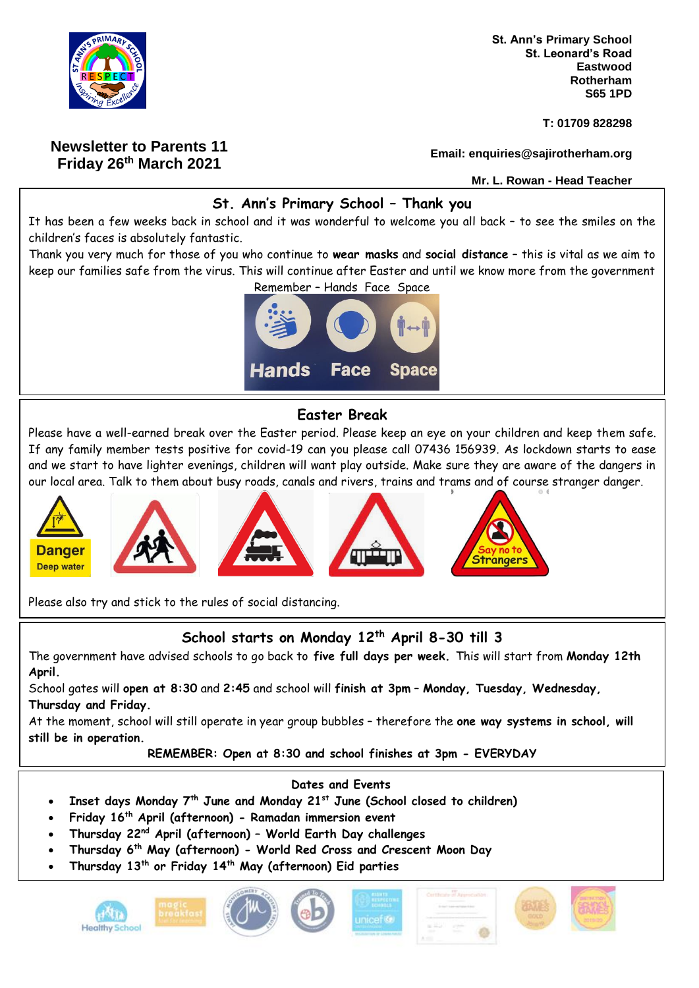

# **Newsletter to Parents 11 Friday 26th March 2021**

**St. Ann's Primary School St. Leonard's Road Eastwood Rotherham S65 1PD**

**T: 01709 828298**

**Email: enquiries@sajirotherham.org**

**Mr. L. Rowan - Head Teacher**

## **St. Ann's Primary School – Thank you**

It has been a few weeks back in school and it was wonderful to welcome you all back – to see the smiles on the children's faces is absolutely fantastic.

Thank you very much for those of you who continue to **wear masks** and **social distance** – this is vital as we aim to keep our families safe from the virus. This will continue after Easter and until we know more from the government



### **Easter Break**

Please have a well-earned break over the Easter period. Please keep an eye on your children and keep them safe. If any family member tests positive for covid-19 can you please call 07436 156939. As lockdown starts to ease and we start to have lighter evenings, children will want play outside. Make sure they are aware of the dangers in our local area. Talk to them about busy roads, canals and rivers, trains and trams and of course stranger danger.



Please also try and stick to the rules of social distancing.

# **School starts on Monday 12th April 8-30 till 3**

The government have advised schools to go back to **five full days per week.** This will start from **Monday 12th April.**

School gates will **open at 8:30** and **2:45** and school will **finish at 3pm** – **Monday, Tuesday, Wednesday, Thursday and Friday.**

At the moment, school will still operate in year group bubbles – therefore the **one way systems in school, will still be in operation.** 

**REMEMBER: Open at 8:30 and school finishes at 3pm - EVERYDAY**

### **Dates and Events**

- **Inset days Monday 7 th June and Monday 21st June (School closed to children)**
- **Friday 16th April (afternoon) - Ramadan immersion event**
- **Thursday 22nd April (afternoon) – World Earth Day challenges**
- **Thursday 6 th May (afternoon) - World Red Cross and Crescent Moon Day**
- **Thursday 13th or Friday 14th May (afternoon) Eid parties**